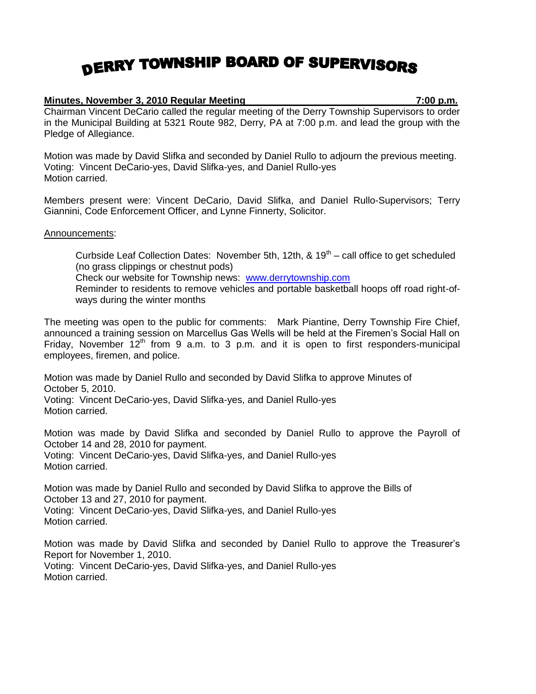## DERRY TOWNSHIP BOARD OF SUPERVISORS

## **Minutes, November 3, 2010 Regular Meeting 7:00 p.m.**

Chairman Vincent DeCario called the regular meeting of the Derry Township Supervisors to order in the Municipal Building at 5321 Route 982, Derry, PA at 7:00 p.m. and lead the group with the Pledge of Allegiance.

Motion was made by David Slifka and seconded by Daniel Rullo to adjourn the previous meeting. Voting: Vincent DeCario-yes, David Slifka-yes, and Daniel Rullo-yes Motion carried.

Members present were: Vincent DeCario, David Slifka, and Daniel Rullo-Supervisors; Terry Giannini, Code Enforcement Officer, and Lynne Finnerty, Solicitor.

## Announcements:

Curbside Leaf Collection Dates: November 5th, 12th,  $\&$  19<sup>th</sup> – call office to get scheduled (no grass clippings or chestnut pods)

Check our website for Township news: [www.derrytownship.com](http://www.derrytownship.com/)

Reminder to residents to remove vehicles and portable basketball hoops off road right-ofways during the winter months

The meeting was open to the public for comments: Mark Piantine, Derry Township Fire Chief, announced a training session on Marcellus Gas Wells will be held at the Firemen's Social Hall on Friday, November  $12<sup>th</sup>$  from 9 a.m. to 3 p.m. and it is open to first responders-municipal employees, firemen, and police.

Motion was made by Daniel Rullo and seconded by David Slifka to approve Minutes of October 5, 2010. Voting: Vincent DeCario-yes, David Slifka-yes, and Daniel Rullo-yes Motion carried.

Motion was made by David Slifka and seconded by Daniel Rullo to approve the Payroll of October 14 and 28, 2010 for payment. Voting: Vincent DeCario-yes, David Slifka-yes, and Daniel Rullo-yes Motion carried.

Motion was made by Daniel Rullo and seconded by David Slifka to approve the Bills of October 13 and 27, 2010 for payment. Voting: Vincent DeCario-yes, David Slifka-yes, and Daniel Rullo-yes Motion carried.

Motion was made by David Slifka and seconded by Daniel Rullo to approve the Treasurer's Report for November 1, 2010. Voting: Vincent DeCario-yes, David Slifka-yes, and Daniel Rullo-yes Motion carried.